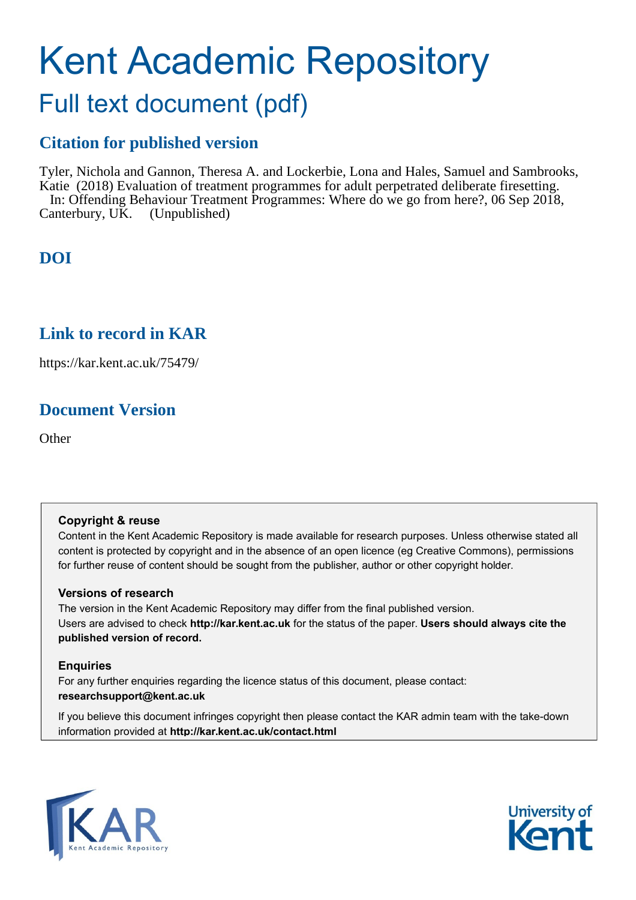## Kent Academic Repository

## Full text document (pdf)

### **Citation for published version**

Tyler, Nichola and Gannon, Theresa A. and Lockerbie, Lona and Hales, Samuel and Sambrooks, Katie (2018) Evaluation of treatment programmes for adult perpetrated deliberate firesetting. In: Offending Behaviour Treatment Programmes: Where do we go from here?, 06 Sep 2018, Canterbury, UK. (Unpublished)

### **DOI**

### **Link to record in KAR**

https://kar.kent.ac.uk/75479/

### **Document Version**

**Other** 

#### **Copyright & reuse**

Content in the Kent Academic Repository is made available for research purposes. Unless otherwise stated all content is protected by copyright and in the absence of an open licence (eg Creative Commons), permissions for further reuse of content should be sought from the publisher, author or other copyright holder.

#### **Versions of research**

The version in the Kent Academic Repository may differ from the final published version. Users are advised to check **http://kar.kent.ac.uk** for the status of the paper. **Users should always cite the published version of record.**

#### **Enquiries**

For any further enquiries regarding the licence status of this document, please contact: **researchsupport@kent.ac.uk**

If you believe this document infringes copyright then please contact the KAR admin team with the take-down information provided at **http://kar.kent.ac.uk/contact.html**